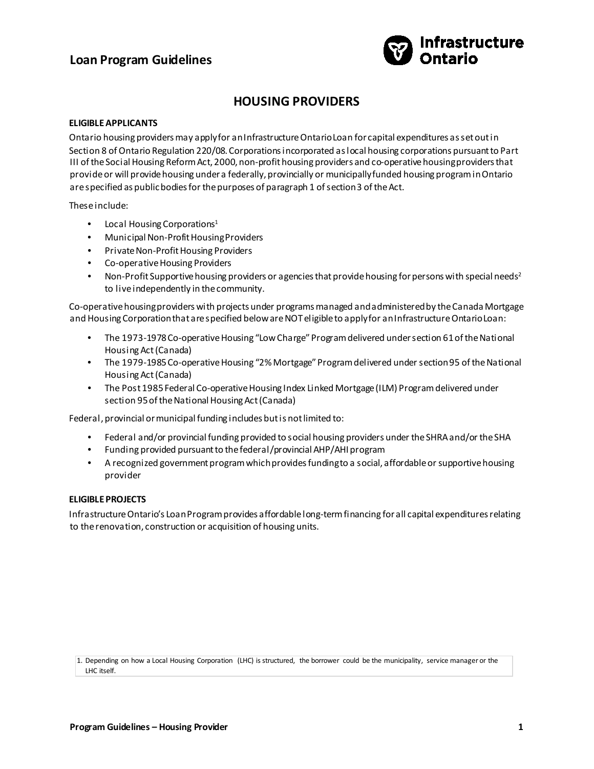

## **HOUSING PROVIDERS**

#### **ELIGIBLE APPLICANTS**

Ontario housing providers may apply for an Infrastructure Ontario Loan for capital expenditures as set out in Section 8 of Ontario Regulation 220/08. Corporations incorporated as local housing corporations pursuant to Part III of the Social Housing Reform Act, 2000, non-profit housing providers and co-operative housing providers that provide or will provide housing under a federally, provincially or municipally funded housing program in Ontario are specified as public bodies for the purposes of paragraph 1 of section 3 of the Act.

These include:

- Local Housing Corporations<sup>1</sup>
- Municipal Non-Profit Housing Providers
- Private Non-Profit Housing Providers
- Co-operative Housing Providers
- Non-Profit Supportive housing providers or agencies that provide housing for persons with special needs<sup>2</sup> to live independently in the community.

Co-operative housing providers with projects under programs managed and administered by the Canada Mortgage and Housing Corporation that are specified below are NOT eligible to apply for an Infrastructure Ontario Loan:

- The 1973-1978 Co-operative Housing "Low Charge" Program delivered under section 61 of the National Housing Act (Canada)
- The 1979-1985 Co-operative Housing "2% Mortgage" Program delivered under section 95 of the National Housing Act (Canada)
- The Post 1985 Federal Co-operative Housing Index Linked Mortgage (ILM) Program delivered under section 95 of the National Housing Act (Canada)

Federal, provincial or municipal funding includes but is not limited to:

- Federal and/or provincial funding provided to social housing providers under the SHRA and/or the SHA
- Funding provided pursuant to the federal/provincial AHP/AHI program
- A recognized government program which provides funding to a social, affordable or supportive housing provider

#### **ELIGIBLE PROJECTS**

Infrastructure Ontario's Loan Program provides affordable long-term financing for all capital expenditures relating to the renovation, construction or acquisition of housing units.

1. Depending on how a Local Housing Corporation (LHC) is structured, the borrower could be the municipality, service manager or the LHC itself.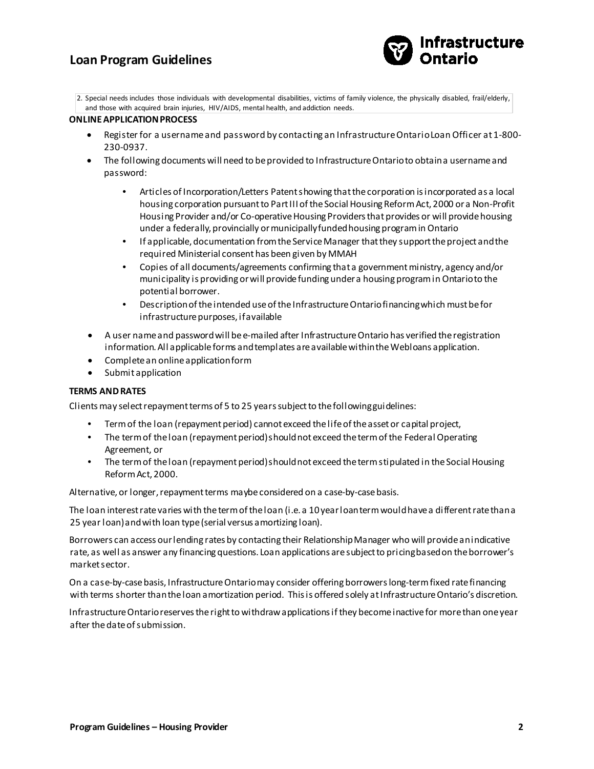

2. Special needs includes those individuals with developmental disabilities, victims of family violence, the physically disabled, frail/elderly, and those with acquired brain injuries, HIV/AIDS, mental health, and addiction needs.

#### **ONLINE APPLICATION PROCESS**

- Register for a username and password by contacting an Infrastructure Ontario Loan Officer at 1-800- 230-0937.
- The following documents will need to be provided to Infrastructure Ontario to obtain a username and password:
	- Articles of Incorporation/Letters Patent showing that the corporation is incorporated as a local housing corporation pursuant to Part III of the Social Housing Reform Act, 2000 or a Non-Profit Housing Provider and/or Co-operative Housing Providers that provides or will provide housing under a federally, provincially or municipally funded housing program in Ontario
	- If applicable, documentation from the Service Manager that they support the project and the required Ministerial consent has been given by MMAH
	- Copies of all documents/agreements confirming that a government ministry, agency and/or municipality is providing or will provide funding under a housing program in Ontario to the potential borrower.
	- Description of the intended use of the InfrastructureOntario financing which must be for infrastructure purposes, if available
- A user name and password will be e-mailed after Infrastructure Ontario has verified the registration information. All applicable forms and templates are available within the Webloans application.
- Complete an online application form
- Submit application

#### **TERMS AND RATES**

Clients may select repayment terms of 5 to 25 years subject to the following guidelines:

- Term of the loan (repayment period) cannot exceed the life of the asset or capital project,
- The term of the loan (repayment period) should not exceed the term of the Federal Operating Agreement, or
- The term of the loan (repayment period) should not exceed the term stipulated in the Social Housing Reform Act, 2000.

Alternative, or longer, repayment terms maybe considered on a case-by-case basis.

The loan interest rate varies with the term of the loan (i.e. a 10 year loan term would have a different rate than a 25 year loan) and with loan type (serial versus amortizing loan).

Borrowers can access our lending rates by contacting their Relationship Manager who will provide an indicative rate, as well as answer any financing questions. Loan applications are subject to pricing based on the borrower's market sector.

On a case-by-case basis, Infrastructure Ontario may consider offering borrowers long-term fixed rate financing with terms shorter than the loan amortization period. This is offered solely at Infrastructure Ontario's discretion.

Infrastructure Ontario reserves the right to withdraw applications if they become inactive for more than one year after the date of submission.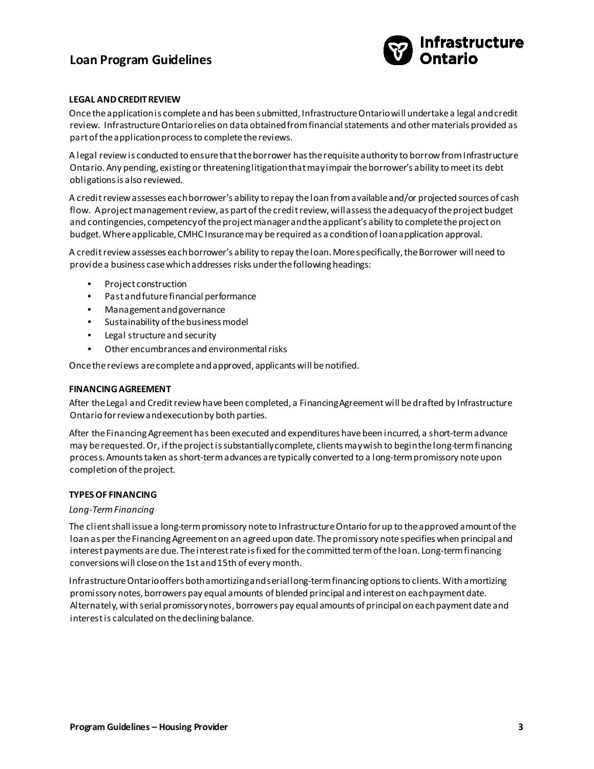

### **LEGAL AND CREDIT REVIEW**

Once the application is complete and has been submitted, Infrastructure Ontario will undertake a legal and credit review. Infrastructure Ontario relies on data obtained from financial statements and other materials provided as part of the application process to complete the reviews.

A legal review is conducted to ensure that the borrower has the requisite authority to borrow from Infrastructure Ontario. Any pending, existing or threatening litigation that may impair the borrower's ability to meet its debt obligations is also reviewed.

A credit review assesses each borrower's ability to repay the loan from available and/or projected sources of cash flow. A project management review, as part of the credit review, will assess the adequacy of the project budget and contingencies, competency of the project manager and the applicant's ability to complete the project on budget. Where applicable, CMHC Insurance may be required as a condition of loan application approval.

A credit review assesses each borrower's ability to repay the loan. More specifically, the Borrower will need to provide a business case which addresses risks under the following headings:

- Project construction
- Past and future financial performance
- Management and governance
- Sustainability of the business model
- Legal structure and security
- Other encumbrances and environmental risks

Once the reviews are complete and approved, applicants will be notified.

#### **FINANCING AGREEMENT**

After the Legal and Credit review have been completed, a Financing Agreement will be drafted by Infrastructure Ontario for review and execution by both parties.

After the Financing Agreement has been executed and expenditures have been incurred, a short-term advance may be requested. Or, if the project is substantially complete, clients may wish to begin the long-term financing process. Amounts taken as short-term advances are typically converted to a long-term promissory note upon completion of the project.

#### **TYPES OF FINANCING**

#### *Long-Term Financing*

The client shall issue a long-term promissory note to Infrastructure Ontario for up to the approved amount of the loan as per the Financing Agreement on an agreed upon date. The promissory note specifies when principal and interest payments are due. The interest rate is fixed for the committed term of the loan. Long-term financing conversions will close on the 1st and 15th of every month.

Infrastructure Ontario offers both amortizing and serial long-term financing options to clients. With amortizing promissory notes, borrowers pay equal amounts of blended principal and interest on each payment date. Alternately, with serial promissory notes, borrowers pay equal amounts of principal on each payment date and interest is calculated on thedeclining balance.